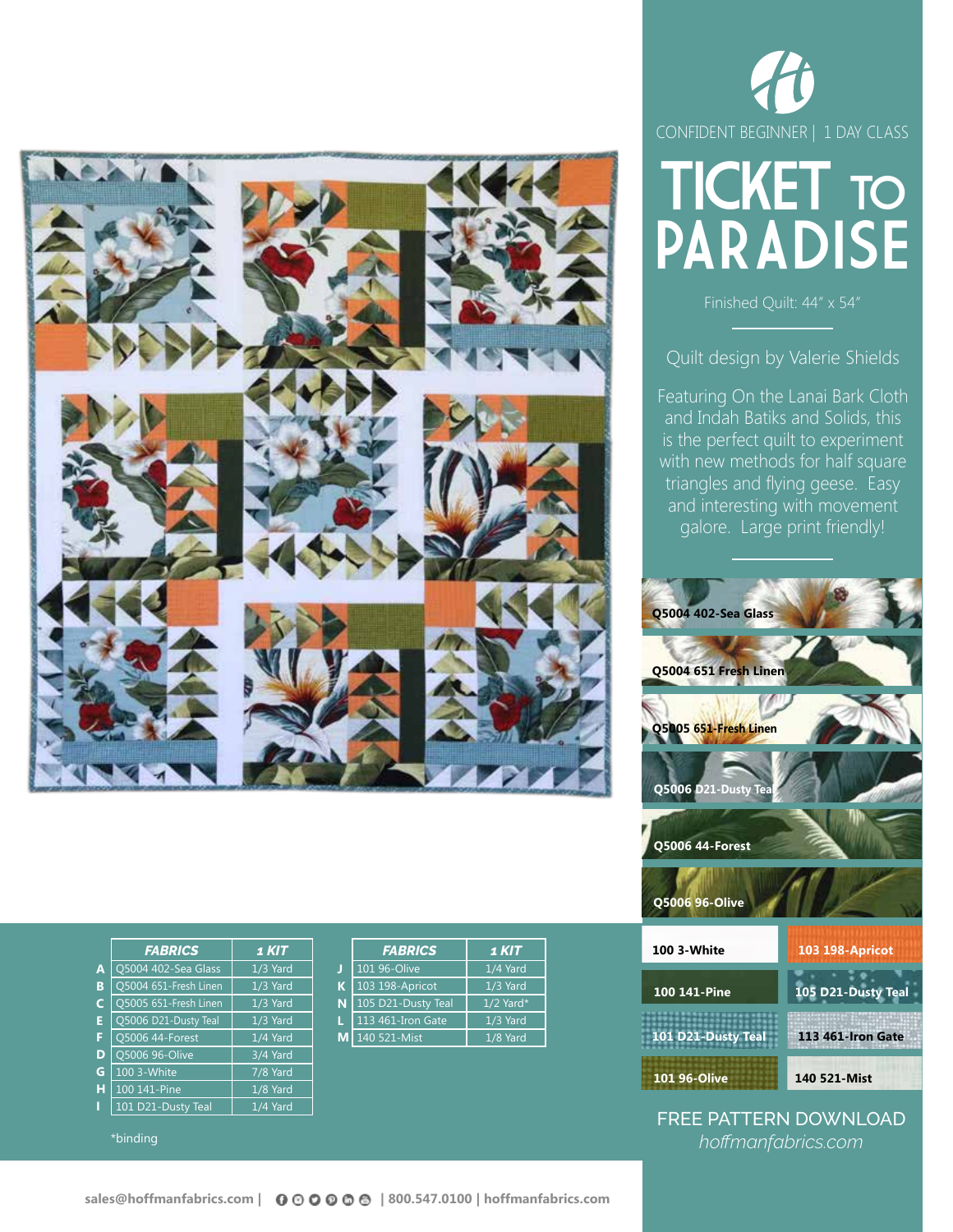

|   | <b>FABRICS</b>        | 1 KIT    |    | <b>FABR</b> |
|---|-----------------------|----------|----|-------------|
| A | Q5004 402-Sea Glass   | 1/3 Yard | J  | 101 96-Oliv |
| в | Q5004 651-Fresh Linen | 1/3 Yard | К  | 103 198-Ap  |
| C | Q5005 651-Fresh Linen | 1/3 Yard | N  | 105 D21-Du  |
| Е | Q5006 D21-Dusty Teal  | 1/3 Yard | L  | 113 461-Iro |
| F | Q5006 44-Forest       | 1/4 Yard | МI | 140 521-Mis |
| D | Q5006 96-Olive        | 3/4 Yard |    |             |
| G | 100 3-White           | 7/8 Yard |    |             |
| н | 100 141-Pine          | 1/8 Yard |    |             |
| П | 101 D21-Dusty Teal    | 1/4 Yard |    |             |

\*binding

| <b>FABRICS</b>     | 1 KIT       |
|--------------------|-------------|
| 101 96-Olive       | 1/4 Yard    |
| 103 198-Apricot    | 1/3 Yard    |
| 105 D21-Dusty Teal | $1/2$ Yard* |
| 113 461-Iron Gate  | 1/3 Yard    |
| 140 521-Mist       | $1/8$ Yard  |
|                    |             |





Finished Quilt: 44" x 54"

Quilt design by Valerie Shields

Featuring On the Lanai Bark Cloth and Indah Batiks and Solids, this is the perfect quilt to experiment with new methods for half square triangles and flying geese. Easy and interesting with movement galore. Large print friendly!



**140 521-Mist**

FREE PATTERN DOWNLOAD *hoffmanfabrics.com*

**101 96-Olive**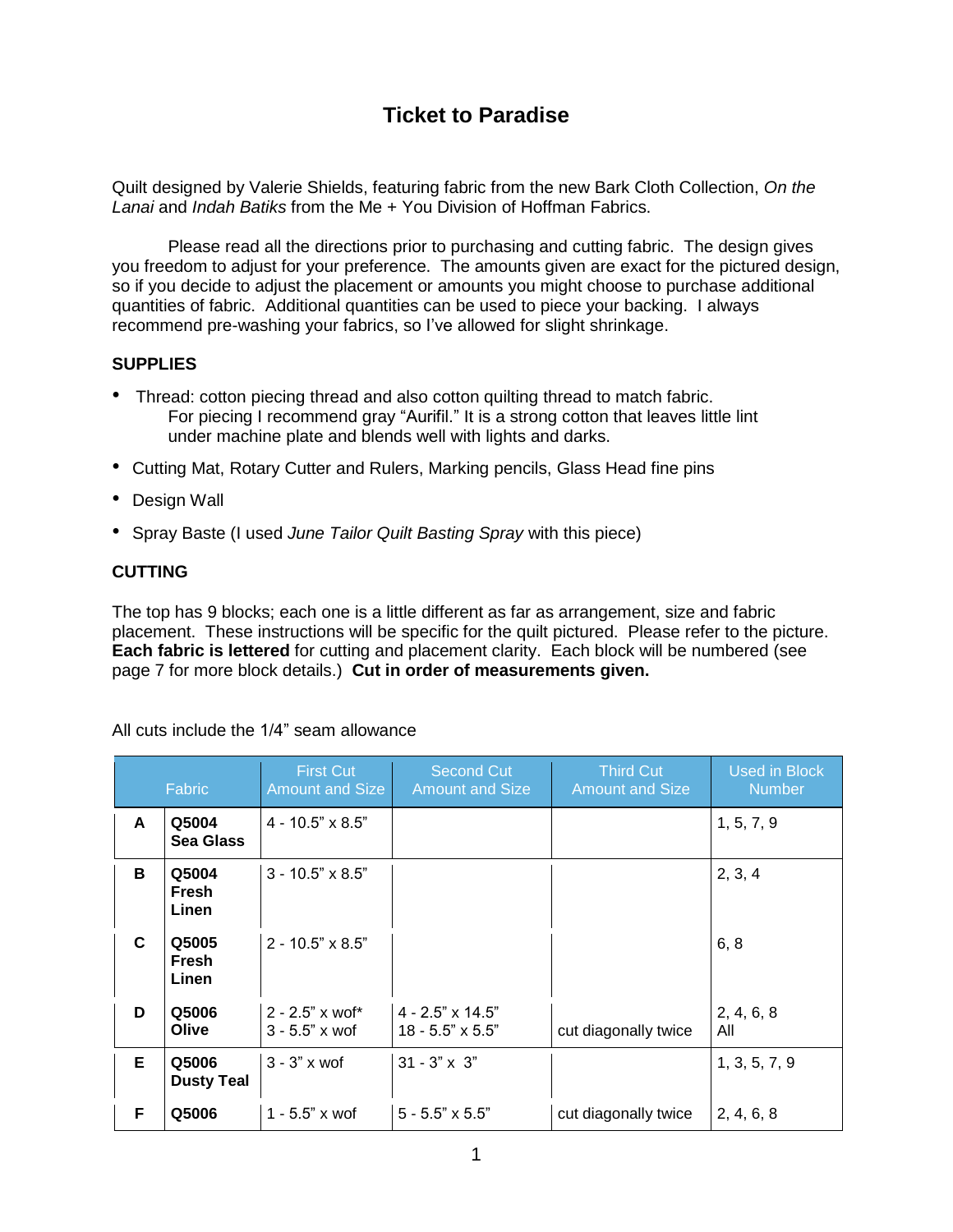## **Ticket to Paradise**

Quilt designed by Valerie Shields, featuring fabric from the new Bark Cloth Collection, *On the Lanai* and *Indah Batiks* from the Me + You Division of Hoffman Fabrics.

Please read all the directions prior to purchasing and cutting fabric. The design gives you freedom to adjust for your preference. The amounts given are exact for the pictured design, so if you decide to adjust the placement or amounts you might choose to purchase additional quantities of fabric. Additional quantities can be used to piece your backing. I always recommend pre-washing your fabrics, so I've allowed for slight shrinkage.

### **SUPPLIES**

- Thread: cotton piecing thread and also cotton quilting thread to match fabric. For piecing I recommend gray "Aurifil." It is a strong cotton that leaves little lint under machine plate and blends well with lights and darks.
- Cutting Mat, Rotary Cutter and Rulers, Marking pencils, Glass Head fine pins
- Design Wall
- Spray Baste (I used *June Tailor Quilt Basting Spray* with this piece)

### **CUTTING**

The top has 9 blocks; each one is a little different as far as arrangement, size and fabric placement. These instructions will be specific for the quilt pictured. Please refer to the picture. **Each fabric is lettered** for cutting and placement clarity. Each block will be numbered (see page 7 for more block details.) **Cut in order of measurements given.**

All cuts include the 1/4" seam allowance

|    | Fabric                     | <b>First Cut</b><br><b>Amount and Size</b>  | <b>Second Cut</b><br><b>Amount and Size</b>        | <b>Third Cut</b><br><b>Amount and Size</b> | <b>Used in Block</b><br><b>Number</b> |
|----|----------------------------|---------------------------------------------|----------------------------------------------------|--------------------------------------------|---------------------------------------|
| A  | Q5004<br>Sea Glass         | $4 - 10.5" \times 8.5"$                     |                                                    |                                            | 1, 5, 7, 9                            |
| в  | Q5004<br>Fresh<br>Linen    | $3 - 10.5" \times 8.5"$                     |                                                    |                                            | 2, 3, 4                               |
| C  | Q5005<br>Fresh<br>Linen    | $2 - 10.5" \times 8.5"$                     |                                                    |                                            | 6, 8                                  |
| D  | Q5006<br>Olive             | $2 - 2.5"$ x wof*<br>$3 - 5.5" \times w$ of | $4 - 2.5" \times 14.5"$<br>$18 - 5.5" \times 5.5"$ | cut diagonally twice                       | 2, 4, 6, 8<br>All                     |
| Е  | Q5006<br><b>Dusty Teal</b> | $3 - 3" \times w$ of                        | $31 - 3" \times 3"$                                |                                            | 1, 3, 5, 7, 9                         |
| F. | Q5006                      | 1 - 5.5" x wof                              | $5 - 5.5" \times 5.5"$                             | cut diagonally twice                       | 2, 4, 6, 8                            |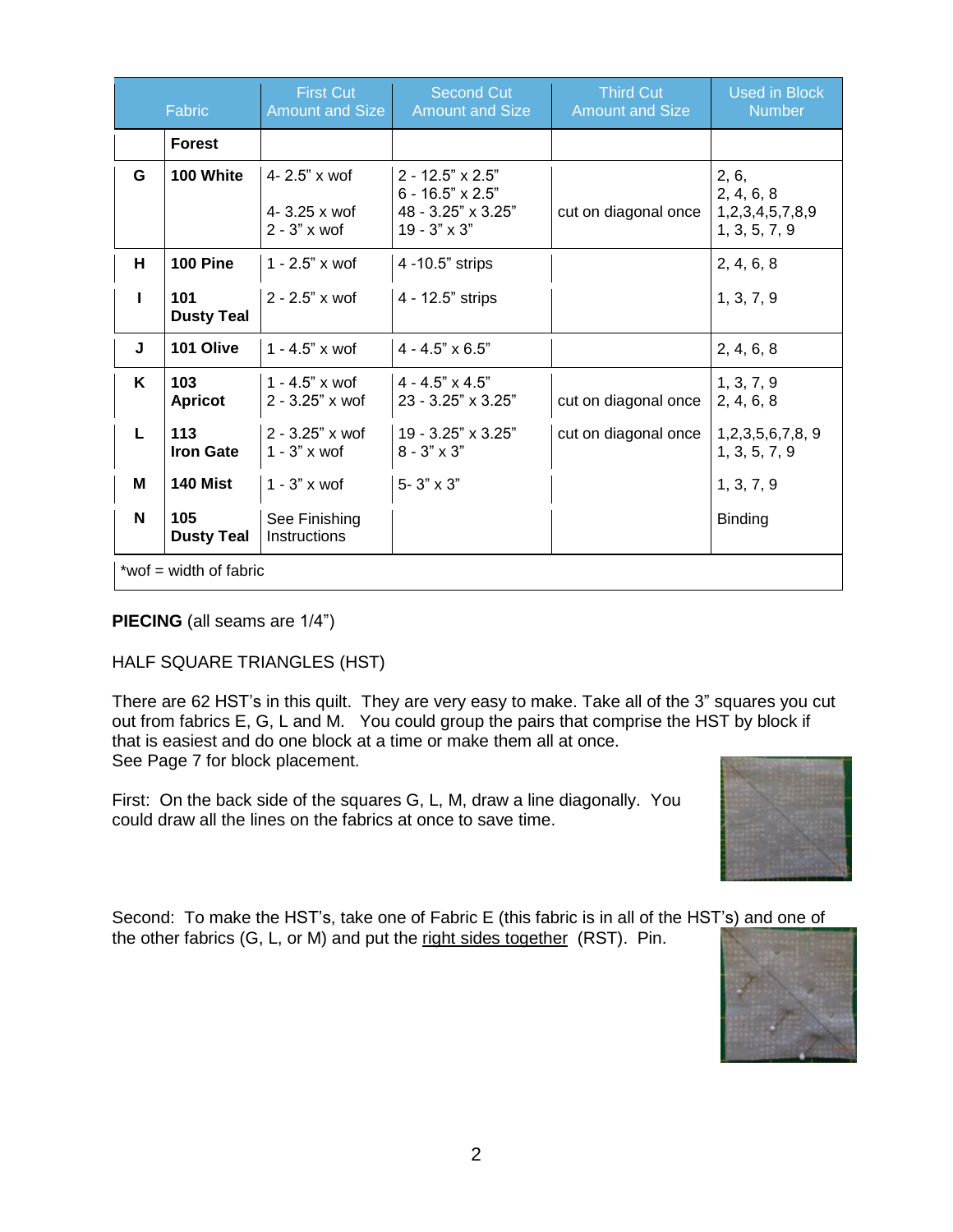|                        | Fabric                   | <b>First Cut</b><br><b>Amount and Size</b>                  | <b>Second Cut</b><br><b>Amount and Size</b>                                                     | <b>Third Cut</b><br><b>Amount and Size</b> | <b>Used in Block</b><br><b>Number</b>                   |
|------------------------|--------------------------|-------------------------------------------------------------|-------------------------------------------------------------------------------------------------|--------------------------------------------|---------------------------------------------------------|
|                        | <b>Forest</b>            |                                                             |                                                                                                 |                                            |                                                         |
| G                      | 100 White                | $4 - 2.5"$ x wof<br>$4 - 3.25x$ wof<br>$2 - 3" \times w$ of | $2 - 12.5" \times 2.5"$<br>$6 - 16.5" \times 2.5"$<br>48 - 3.25" x 3.25"<br>$19 - 3" \times 3"$ | cut on diagonal once                       | 2, 6,<br>2, 4, 6, 8<br>1,2,3,4,5,7,8,9<br>1, 3, 5, 7, 9 |
| н                      | <b>100 Pine</b>          | $1 - 2.5"$ x wof                                            | 4 -10.5" strips                                                                                 |                                            | 2, 4, 6, 8                                              |
| I.                     | 101<br><b>Dusty Teal</b> | $2 - 2.5"$ x wor                                            | 4 - 12.5" strips                                                                                |                                            | 1, 3, 7, 9                                              |
| J                      | 101 Olive                | $1 - 4.5"$ x wof                                            | $4 - 4.5" \times 6.5"$                                                                          |                                            | 2, 4, 6, 8                                              |
| K                      | 103<br><b>Apricot</b>    | 1 - 4.5" $x$ wof<br>$2 - 3.25"$ x wof                       | $4 - 4.5" \times 4.5"$<br>23 - 3.25" x 3.25"                                                    | cut on diagonal once                       | 1, 3, 7, 9<br>2, 4, 6, 8                                |
| L                      | 113<br><b>Iron Gate</b>  | $2 - 3.25"$ x wof<br>$1 - 3" \times w$ of                   | 19 - 3.25" x 3.25"<br>$8 - 3" \times 3"$                                                        | cut on diagonal once                       | 1,2,3,5,6,7,8, 9<br>1, 3, 5, 7, 9                       |
| м                      | 140 Mist                 | $1 - 3$ " x wof                                             | $5 - 3" \times 3"$                                                                              |                                            | 1, 3, 7, 9                                              |
| N                      | 105<br><b>Dusty Teal</b> | See Finishing<br>Instructions                               |                                                                                                 |                                            | Binding                                                 |
| *wof = width of fabric |                          |                                                             |                                                                                                 |                                            |                                                         |

**PIECING** (all seams are 1/4")

### HALF SQUARE TRIANGLES (HST)

There are 62 HST's in this quilt. They are very easy to make. Take all of the 3" squares you cut out from fabrics E, G, L and M. You could group the pairs that comprise the HST by block if that is easiest and do one block at a time or make them all at once. See Page 7 for block placement.

First: On the back side of the squares G, L, M, draw a line diagonally. You could draw all the lines on the fabrics at once to save time.



Second: To make the HST's, take one of Fabric E (this fabric is in all of the HST's) and one of the other fabrics (G, L, or M) and put the right sides together (RST). Pin.

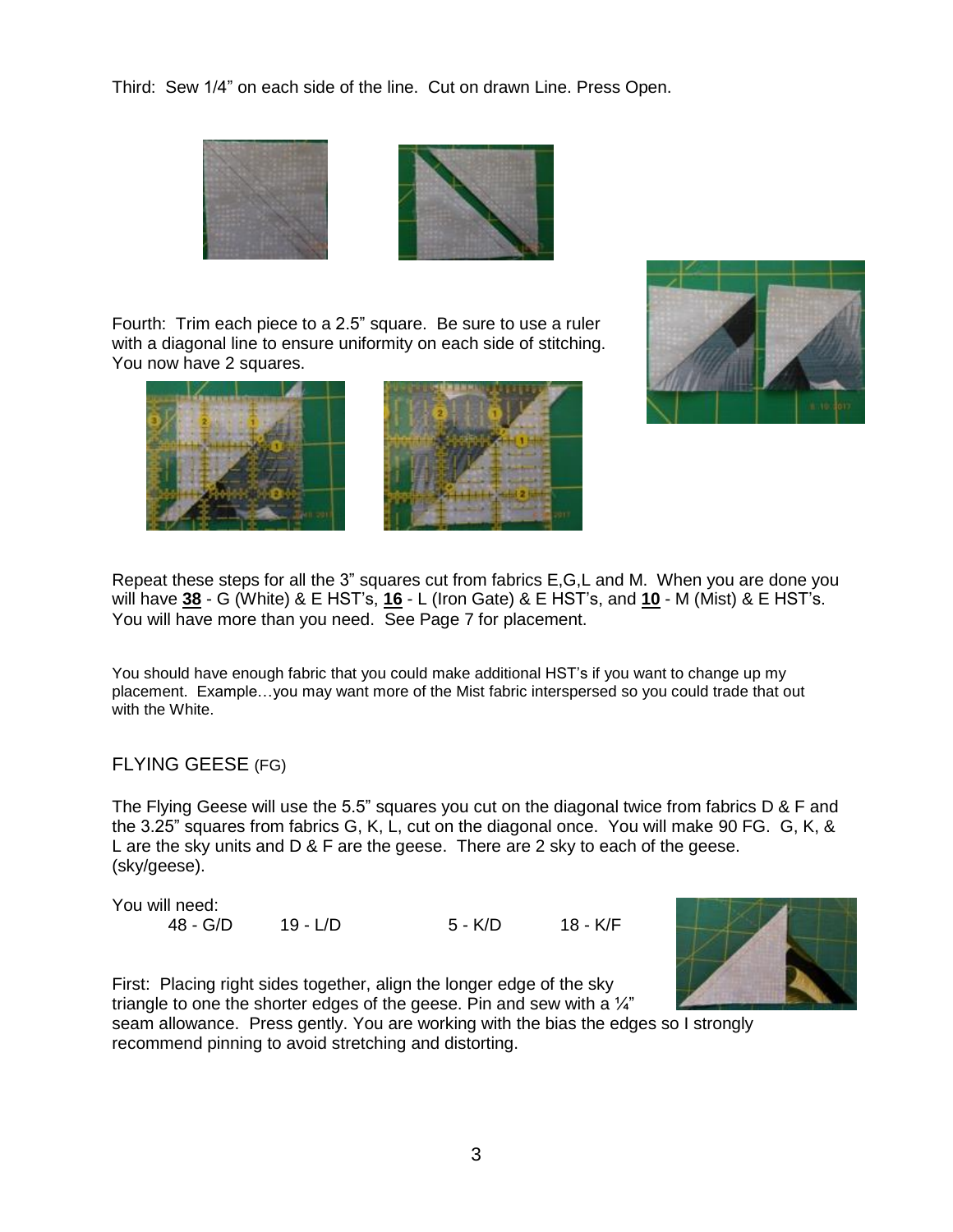Third: Sew 1/4" on each side of the line. Cut on drawn Line. Press Open.



Fourth: Trim each piece to a 2.5" square. Be sure to use a ruler with a diagonal line to ensure uniformity on each side of stitching. You now have 2 squares.





Repeat these steps for all the 3" squares cut from fabrics E,G,L and M. When you are done you will have **38** - G (White) & E HST's, **16** - L (Iron Gate) & E HST's, and **10** - M (Mist) & E HST's. You will have more than you need. See Page 7 for placement.

You should have enough fabric that you could make additional HST's if you want to change up my placement. Example…you may want more of the Mist fabric interspersed so you could trade that out with the White.

### FLYING GEESE (FG)

The Flying Geese will use the 5.5" squares you cut on the diagonal twice from fabrics D & F and the 3.25" squares from fabrics G, K, L, cut on the diagonal once. You will make 90 FG. G, K, & L are the sky units and D & F are the geese. There are 2 sky to each of the geese. (sky/geese).

| You will need: |          |         |          |
|----------------|----------|---------|----------|
| 48 - G/D       | 19 - L/D | 5 - K/D | 18 - K/F |



First: Placing right sides together, align the longer edge of the sky triangle to one the shorter edges of the geese. Pin and sew with a  $\frac{1}{4}$ " seam allowance. Press gently. You are working with the bias the edges so I strongly recommend pinning to avoid stretching and distorting.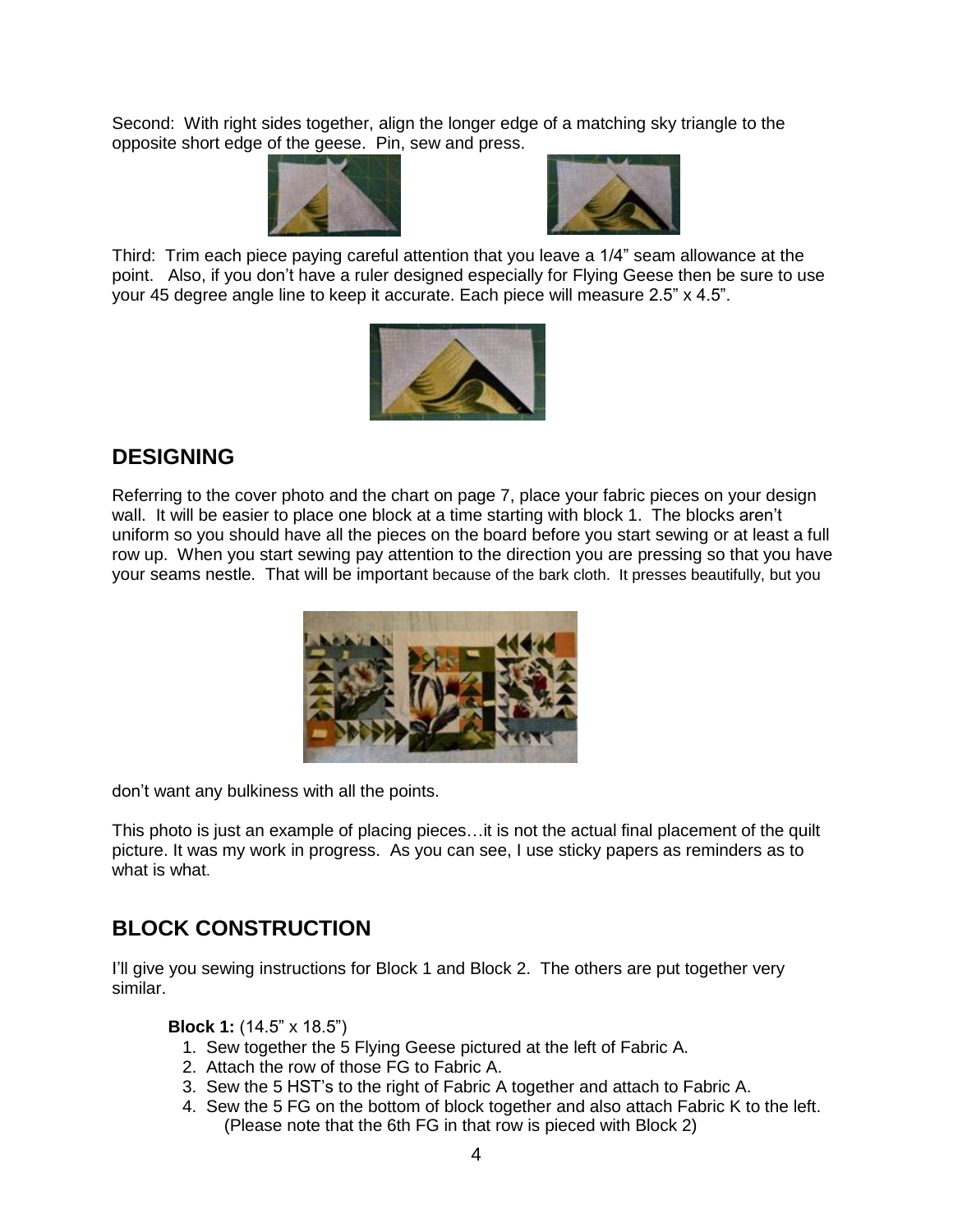Second: With right sides together, align the longer edge of a matching sky triangle to the opposite short edge of the geese. Pin, sew and press.





Third: Trim each piece paying careful attention that you leave a 1/4" seam allowance at the point. Also, if you don't have a ruler designed especially for Flying Geese then be sure to use your 45 degree angle line to keep it accurate. Each piece will measure 2.5" x 4.5".



# **DESIGNING**

Referring to the cover photo and the chart on page 7, place your fabric pieces on your design wall. It will be easier to place one block at a time starting with block 1. The blocks aren't uniform so you should have all the pieces on the board before you start sewing or at least a full row up. When you start sewing pay attention to the direction you are pressing so that you have your seams nestle. That will be important because of the bark cloth. It presses beautifully, but you



don't want any bulkiness with all the points.

This photo is just an example of placing pieces…it is not the actual final placement of the quilt picture. It was my work in progress. As you can see, I use sticky papers as reminders as to what is what.

### **BLOCK CONSTRUCTION**

I'll give you sewing instructions for Block 1 and Block 2. The others are put together very similar.

**Block 1:** (14.5" x 18.5")

- 1. Sew together the 5 Flying Geese pictured at the left of Fabric A.
- 2. Attach the row of those FG to Fabric A.
- 3. Sew the 5 HST's to the right of Fabric A together and attach to Fabric A.
- 4. Sew the 5 FG on the bottom of block together and also attach Fabric K to the left. (Please note that the 6th FG in that row is pieced with Block 2)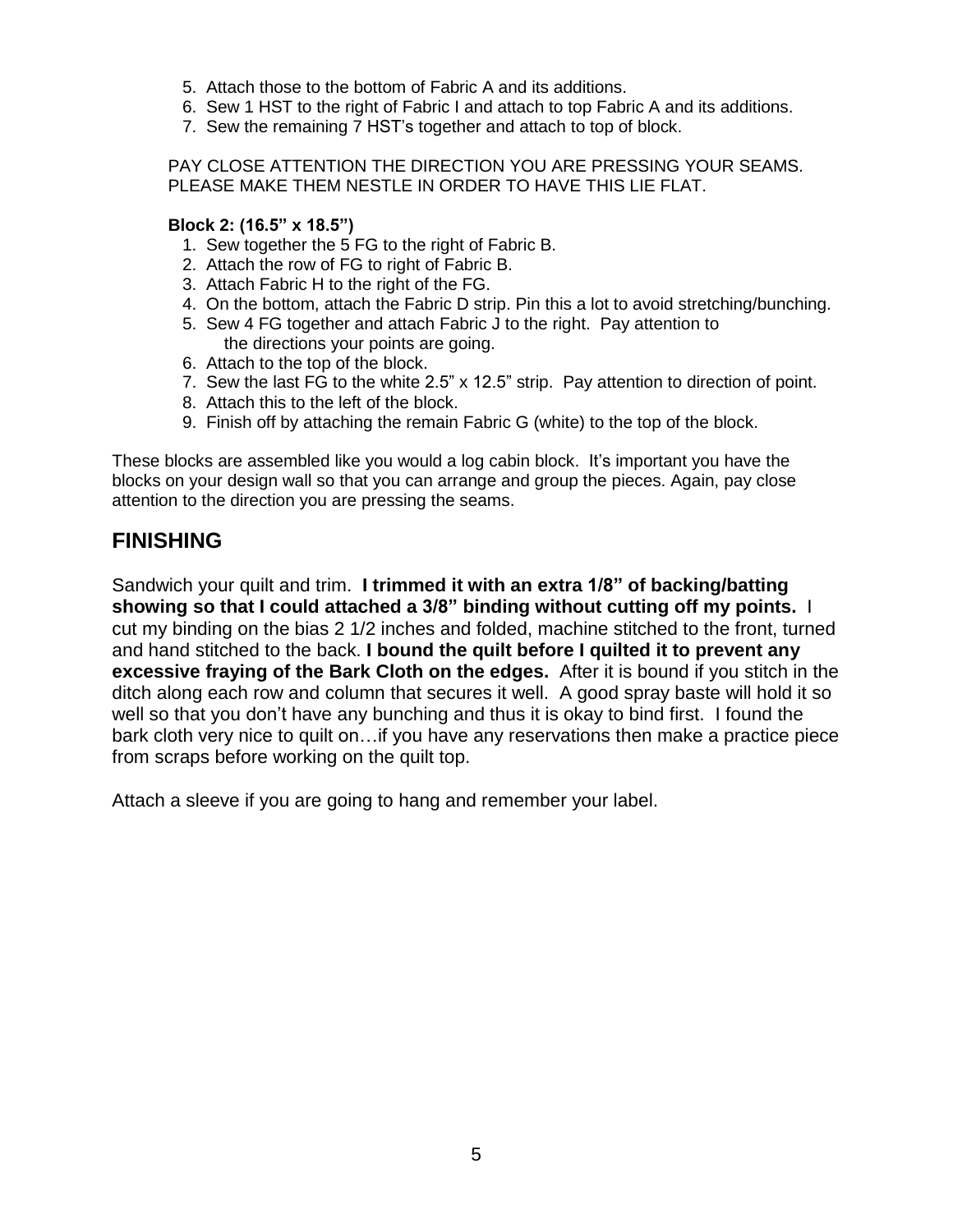- 5. Attach those to the bottom of Fabric A and its additions.
- 6. Sew 1 HST to the right of Fabric I and attach to top Fabric A and its additions.
- 7. Sew the remaining 7 HST's together and attach to top of block.

PAY CLOSE ATTENTION THE DIRECTION YOU ARE PRESSING YOUR SEAMS. PLEASE MAKE THEM NESTLE IN ORDER TO HAVE THIS LIE FLAT.

#### **Block 2: (16.5" x 18.5")**

- 1. Sew together the 5 FG to the right of Fabric B.
- 2. Attach the row of FG to right of Fabric B.
- 3. Attach Fabric H to the right of the FG.
- 4. On the bottom, attach the Fabric D strip. Pin this a lot to avoid stretching/bunching.
- 5. Sew 4 FG together and attach Fabric J to the right. Pay attention to the directions your points are going.
- 6. Attach to the top of the block.
- 7. Sew the last FG to the white 2.5" x 12.5" strip. Pay attention to direction of point.
- 8. Attach this to the left of the block.
- 9. Finish off by attaching the remain Fabric G (white) to the top of the block.

These blocks are assembled like you would a log cabin block. It's important you have the blocks on your design wall so that you can arrange and group the pieces. Again, pay close attention to the direction you are pressing the seams.

### **FINISHING**

Sandwich your quilt and trim. **I trimmed it with an extra 1/8" of backing/batting showing so that I could attached a 3/8" binding without cutting off my points.** I cut my binding on the bias 2 1/2 inches and folded, machine stitched to the front, turned and hand stitched to the back. **I bound the quilt before I quilted it to prevent any excessive fraying of the Bark Cloth on the edges.** After it is bound if you stitch in the ditch along each row and column that secures it well. A good spray baste will hold it so well so that you don't have any bunching and thus it is okay to bind first. I found the bark cloth very nice to quilt on…if you have any reservations then make a practice piece from scraps before working on the quilt top.

Attach a sleeve if you are going to hang and remember your label.